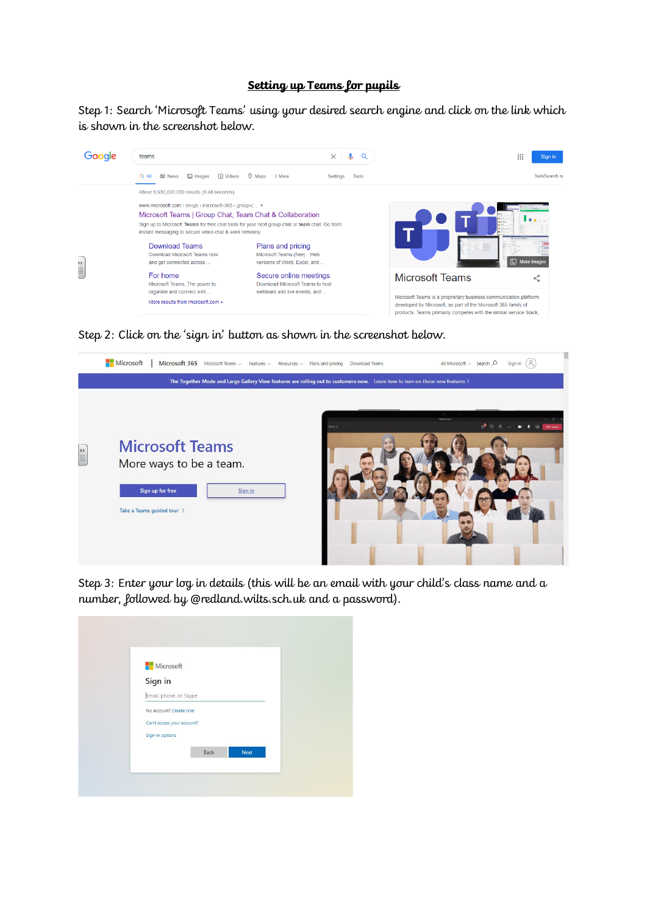## **Setting up Teams for pupils**

Step 1: Search 'Microsoft Teams' using your desired search engine and click on the link which is shown in the screenshot below.



Step 2: Click on the 'sign in' button as shown in the screenshot below.



Step 3: Enter your log in details (this will be an email with your child's class name and a number, followed by @redland.wilts.sch.uk and a password).

| <b>Nicrosoft</b>           |      |             |  |
|----------------------------|------|-------------|--|
| Sign in                    |      |             |  |
| Email, phone, or Skype     |      |             |  |
| No account? Create one!    |      |             |  |
| Can't access your account? |      |             |  |
| Sign-in options            |      |             |  |
|                            | Back | <b>Next</b> |  |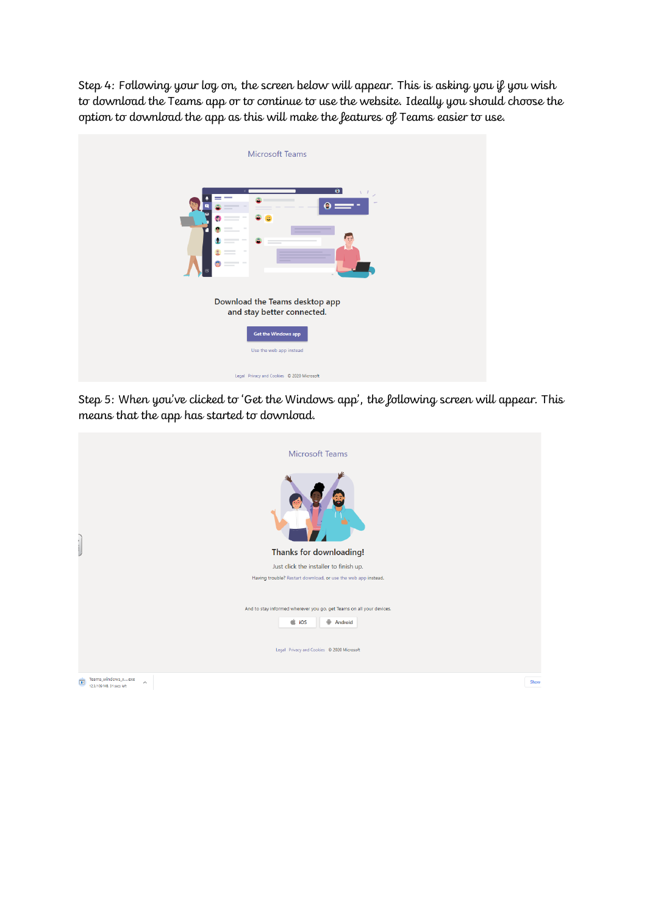Step 4: Following your log on, the screen below will appear. This is asking you if you wish to download the Teams app or to continue to use the website. Ideally you should choose the option to download the app as this will make the features of Teams easier to use.



Step 5: When you've clicked to 'Get the Windows app', the following screen will appear. This means that the app has started to download.

| <b>Microsoft Teams</b>                                                               |      |
|--------------------------------------------------------------------------------------|------|
| Thanks for downloading!                                                              |      |
| Just click the installer to finish up.                                               |      |
| Having trouble? Restart download, or use the web app instead.                        |      |
| And to stay informed wherever you go, get Teams on all your devices.                 |      |
| $\dot{\bullet}$ iOS<br>Android                                                       |      |
|                                                                                      |      |
| Legal Privacy and Cookies © 2020 Microsoft                                           |      |
| Teams_windows_xexe<br>$\Box$<br>$\widehat{\phantom{a}}$<br>12.3/109 MB, 31 secs left | Show |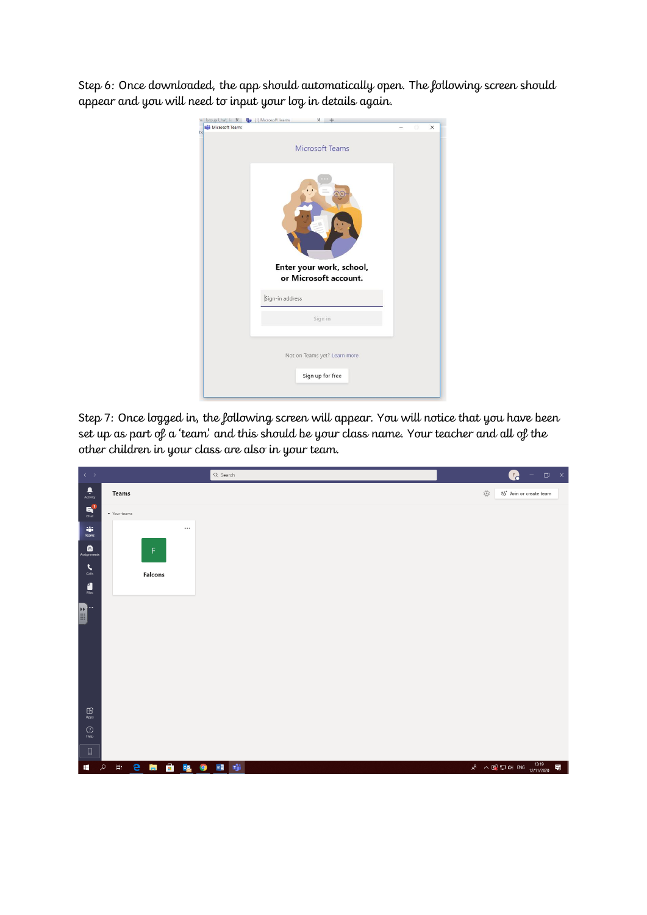Step 6: Once downloaded, the app should automatically open. The following screen should appear and you will need to input your log in details again.



Step 7: Once logged in, the following screen will appear. You will notice that you have been set up as part of a 'team' and this should be your class name. Your teacher and all of the other children in your class are also in your team.